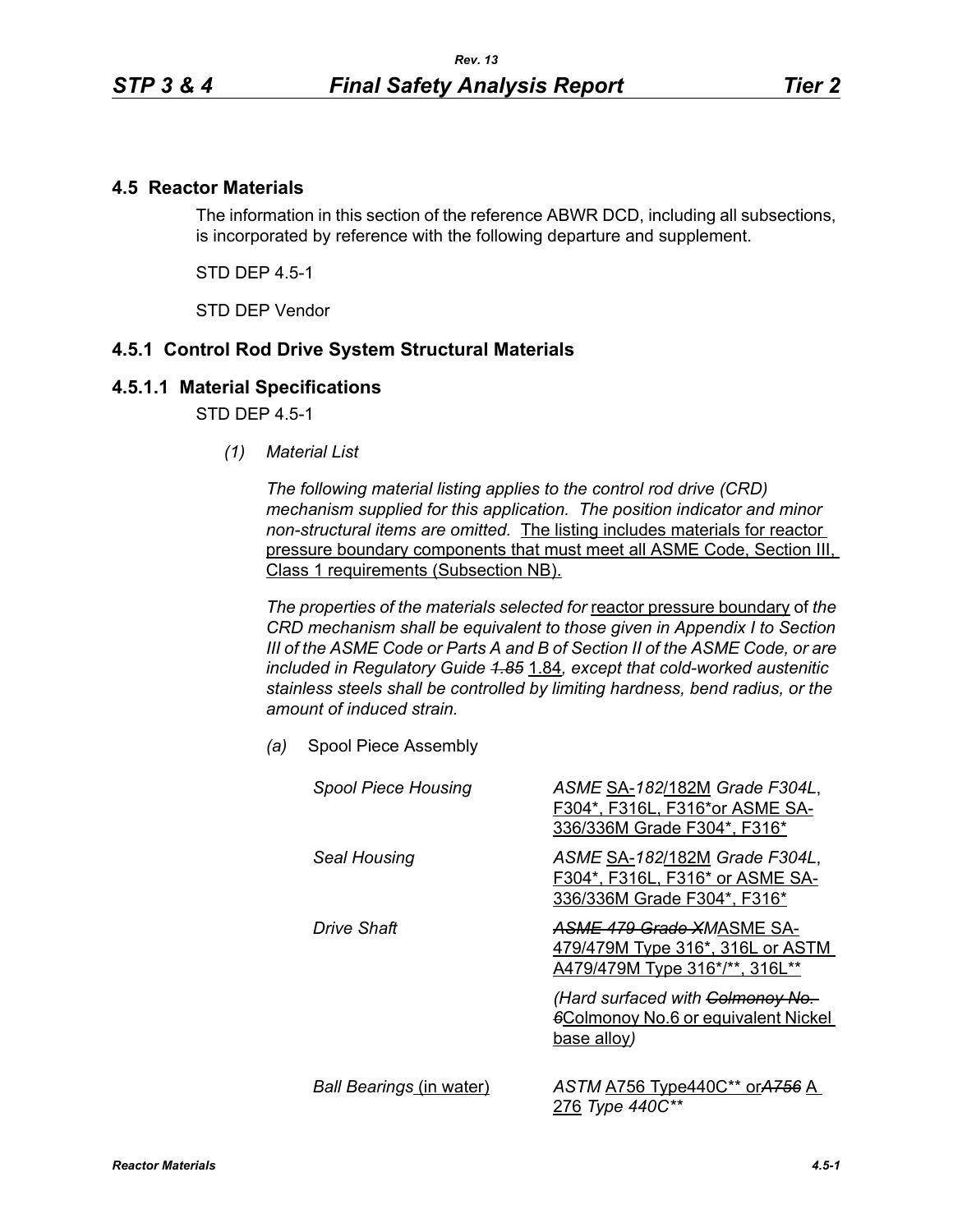## **4.5 Reactor Materials**

The information in this section of the reference ABWR DCD, including all subsections, is incorporated by reference with the following departure and supplement.

STD DEP 4.5-1

STD DEP Vendor

## **4.5.1 Control Rod Drive System Structural Materials**

## **4.5.1.1 Material Specifications**

STD DEP 4.5-1

*(1) Material List*

*The following material listing applies to the control rod drive (CRD) mechanism supplied for this application. The position indicator and minor non-structural items are omitted.* The listing includes materials for reactor pressure boundary components that must meet all ASME Code, Section III, Class 1 requirements (Subsection NB).

*The properties of the materials selected for* reactor pressure boundary of *the CRD mechanism shall be equivalent to those given in Appendix I to Section III of the ASME Code or Parts A and B of Section II of the ASME Code, or are included in Regulatory Guide 1.85* 1.84*, except that cold-worked austenitic stainless steels shall be controlled by limiting hardness, bend radius, or the amount of induced strain.*

*(a)* Spool Piece Assembly

| <b>Spool Piece Housing</b>      | ASME SA-182/182M Grade F304L,<br>F304*, F316L, F316*or ASME SA-<br>336/336M Grade F304*, F316*  |
|---------------------------------|-------------------------------------------------------------------------------------------------|
| Seal Housing                    | ASME SA-182/182M Grade F304L,<br>F304*, F316L, F316* or ASME SA-<br>336/336M Grade F304*, F316* |
| Drive Shaft                     | ASME 479 Grade XMASME SA-<br>479/479M Type 316*, 316L or ASTM<br>A479/479M Type 316*/**, 316L** |
|                                 | (Hard surfaced with Colmonoy No.<br><b>6Colmonoy No.6 or equivalent Nickel</b><br>base alloy)   |
| <b>Ball Bearings (in water)</b> | ASTM A756 Type440C** orA756 A<br>276 Type 440C**                                                |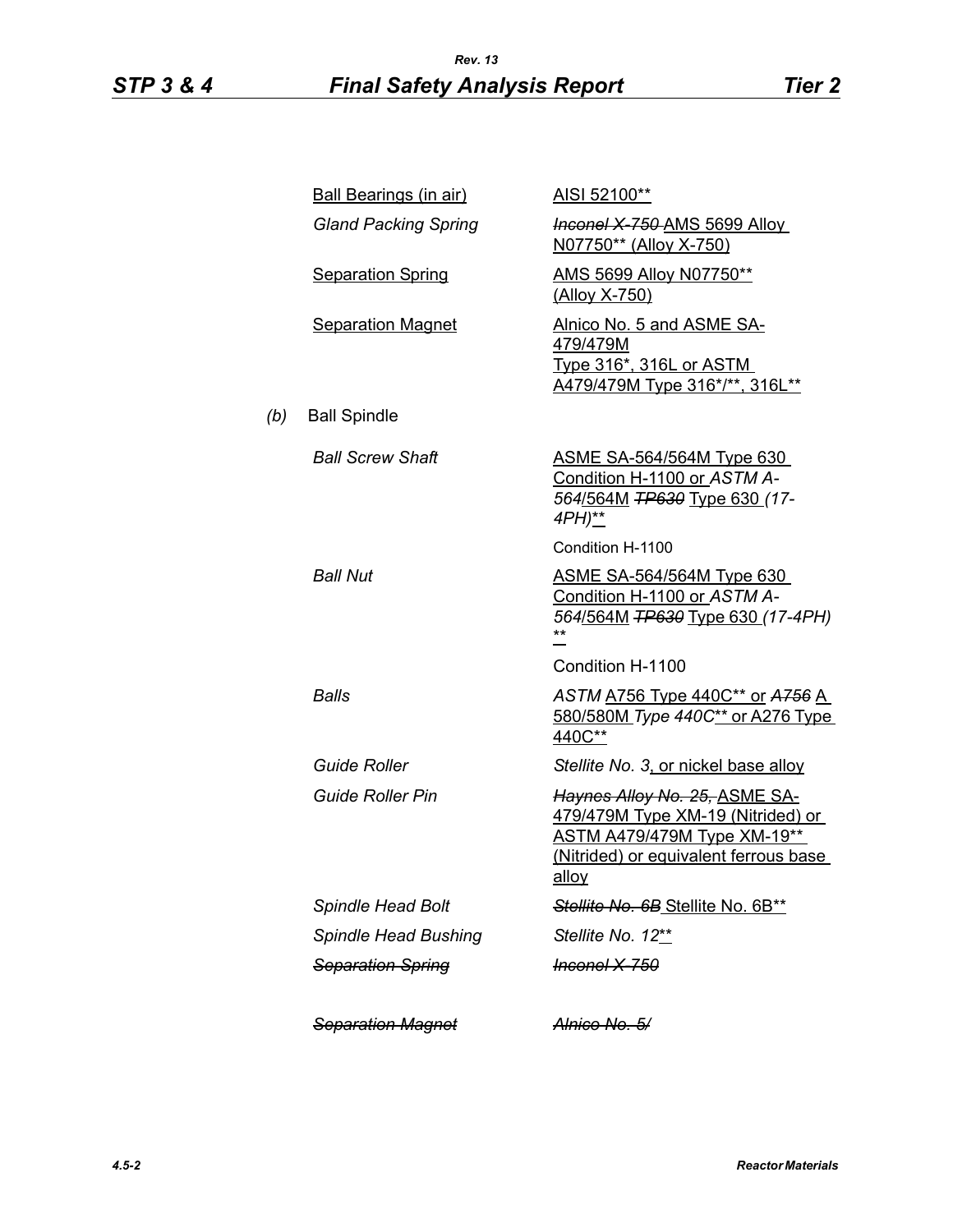|     | <b>Ball Bearings (in air)</b> | AISI 52100**                                                                                                                                                      |
|-----|-------------------------------|-------------------------------------------------------------------------------------------------------------------------------------------------------------------|
|     | <b>Gland Packing Spring</b>   | <b>Inconel X 750 AMS 5699 Alloy</b><br>N07750** (Alloy X-750)                                                                                                     |
|     | <b>Separation Spring</b>      | AMS 5699 Alloy N07750**<br>(Alloy X-750)                                                                                                                          |
|     | <b>Separation Magnet</b>      | Alnico No. 5 and ASME SA-<br>479/479M<br><u>Type 316*, 316L or ASTM</u><br>A479/479M Type 316*/**, 316L**                                                         |
| (b) | <b>Ball Spindle</b>           |                                                                                                                                                                   |
|     | <b>Ball Screw Shaft</b>       | <b>ASME SA-564/564M Type 630</b><br>Condition H-1100 or ASTM A-<br>564/564M TP630 Type 630 (17-<br>4PH)**                                                         |
|     |                               | Condition H-1100                                                                                                                                                  |
|     | <b>Ball Nut</b>               | <b>ASME SA-564/564M Type 630</b><br>Condition H-1100 or ASTM A-<br>564/564M TP630 Type 630 (17-4PH)<br>**                                                         |
|     |                               | Condition H-1100                                                                                                                                                  |
|     | Balls                         | ASTM A756 Type 440C** or A756 A<br>580/580M Type 440C** or A276 Type<br>440C**                                                                                    |
|     | <b>Guide Roller</b>           | Stellite No. 3, or nickel base alloy                                                                                                                              |
|     | <b>Guide Roller Pin</b>       | Haynes Alloy No. 25, ASME SA-<br>479/479M Type XM-19 (Nitrided) or<br><b>ASTM A479/479M Type XM-19**</b><br>(Nitrided) or equivalent ferrous base<br><u>alloy</u> |
|     | <b>Spindle Head Bolt</b>      | Stellite No. 6B Stellite No. 6B**                                                                                                                                 |
|     | <b>Spindle Head Bushing</b>   | Stellite No. 12**                                                                                                                                                 |
|     | <b>Separation Spring</b>      | <del>Inconel X-750</del>                                                                                                                                          |
|     | <b>Separation Magnet</b>      | <del>Alnico No. 5/</del>                                                                                                                                          |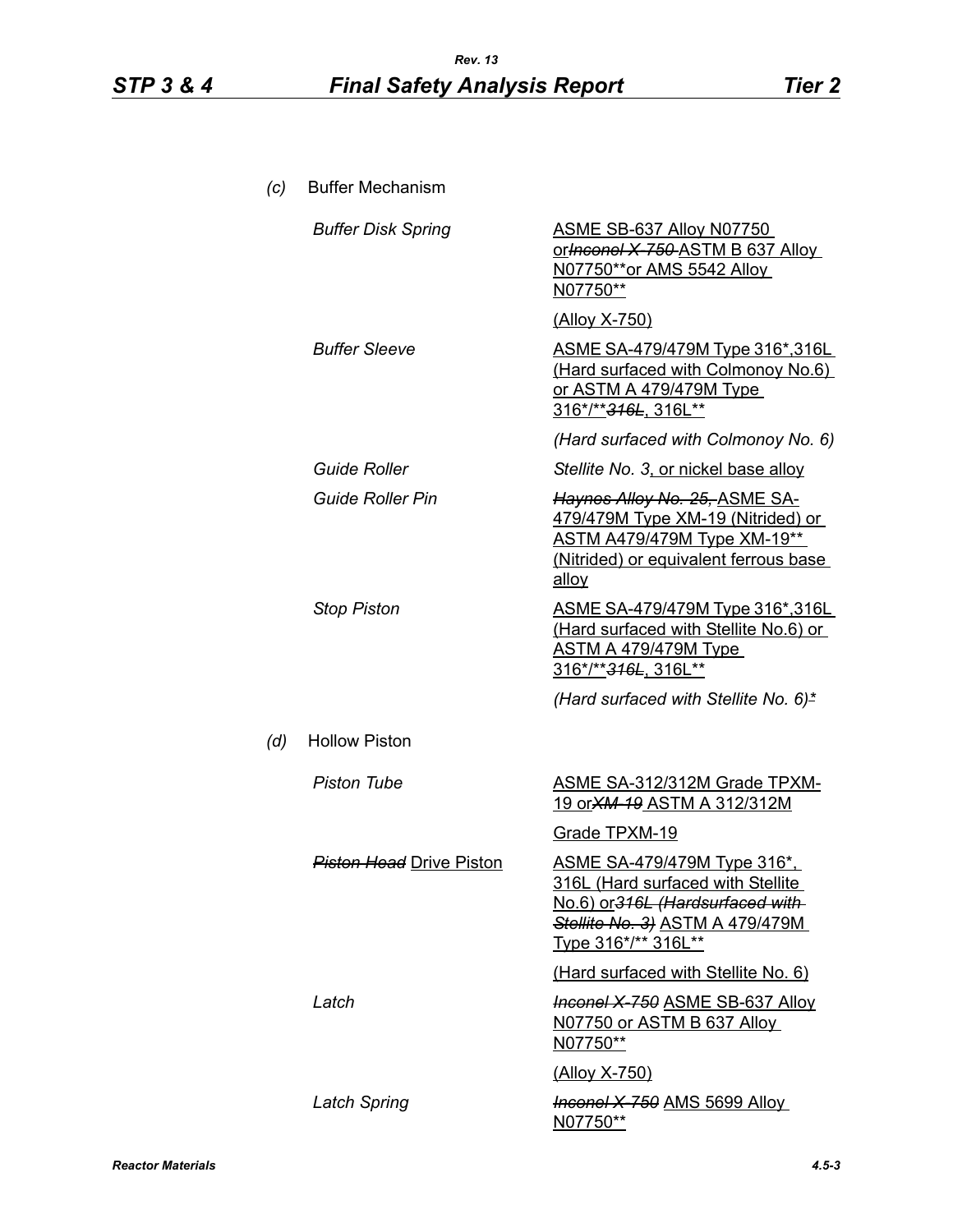| (c) | <b>Buffer Mechanism</b>         |                                                                                                                                                                       |
|-----|---------------------------------|-----------------------------------------------------------------------------------------------------------------------------------------------------------------------|
|     | <b>Buffer Disk Spring</b>       | ASME SB-637 Alloy N07750<br>orthconel X-750-ASTM B 637 Alloy<br>N07750**or AMS 5542 Alloy<br>N07750**                                                                 |
|     |                                 | <u>(Alloy X-750)</u>                                                                                                                                                  |
|     | <b>Buffer Sleeve</b>            | <u>ASME SA-479/479M Type 316*,316L</u><br>(Hard surfaced with Colmonoy No.6)<br><u>or ASTM A 479/479M Type</u><br>316*/** <del>316L</del> , 316L**                    |
|     |                                 | (Hard surfaced with Colmonoy No. 6)                                                                                                                                   |
|     | <b>Guide Roller</b>             | Stellite No. 3, or nickel base alloy                                                                                                                                  |
|     | <b>Guide Roller Pin</b>         | <del>Haynes Alloy No. 25, ASME SA-</del><br>479/479M Type XM-19 (Nitrided) or<br><b>ASTM A479/479M Type XM-19**</b><br>(Nitrided) or equivalent ferrous base<br>alloy |
|     | <b>Stop Piston</b>              | ASME SA-479/479M Type 316*,316L<br>(Hard surfaced with Stellite No.6) or<br>ASTM A 479/479M Type<br>316*/**316L, 316L**                                               |
|     |                                 | (Hard surfaced with Stellite No. 6)*                                                                                                                                  |
| (d) | <b>Hollow Piston</b>            |                                                                                                                                                                       |
|     | <b>Piston Tube</b>              | <b>ASME SA-312/312M Grade TPXM-</b><br><u>19 or XM-19 ASTM A 312/312M</u>                                                                                             |
|     |                                 | Grade TPXM-19                                                                                                                                                         |
|     | <i>Piston Head</i> Drive Piston | ASME SA-479/479M Type 316*<br>316L (Hard surfaced with Stellite<br>No.6) or 316L (Hardsurfaced with-<br>Stellite No. 3) ASTM A 479/479M<br>Type 316*/** 316L**        |
|     |                                 | (Hard surfaced with Stellite No. 6)                                                                                                                                   |
|     | Latch                           | <b>Inconel X-750 ASME SB-637 Alloy</b><br>N07750 or ASTM B 637 Alloy<br>N07750**                                                                                      |
|     |                                 | <u>(Alloy X-750)</u>                                                                                                                                                  |
|     | <b>Latch Spring</b>             | <b>Inconel X-750 AMS 5699 Alloy</b><br>N07750**                                                                                                                       |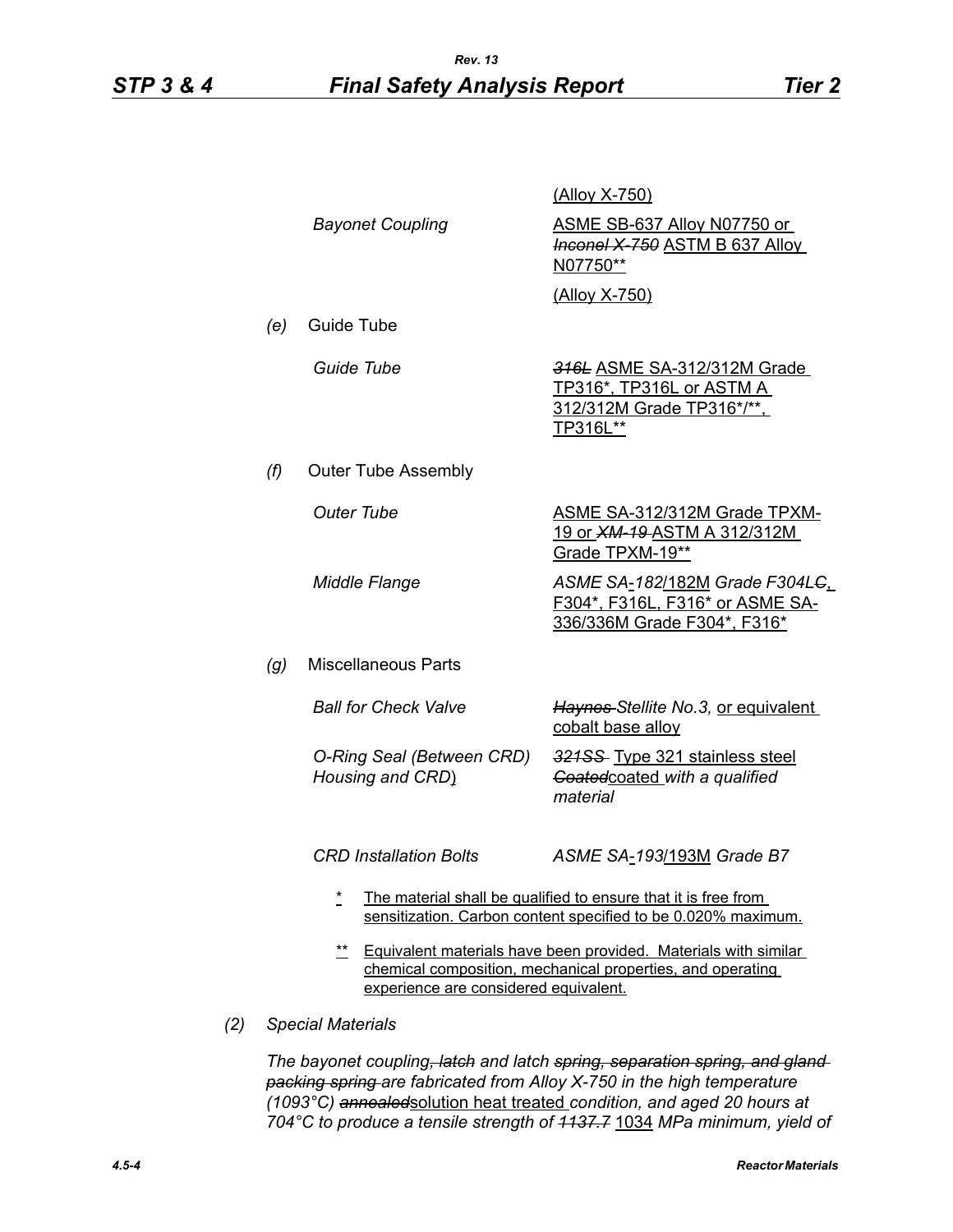|     |                                                                                                                                                                                        |                                               | (Alloy X-750)                                                                                                                   |  |
|-----|----------------------------------------------------------------------------------------------------------------------------------------------------------------------------------------|-----------------------------------------------|---------------------------------------------------------------------------------------------------------------------------------|--|
|     |                                                                                                                                                                                        | <b>Bayonet Coupling</b>                       | ASME SB-637 Alloy N07750 or<br><b>Inconel X-750 ASTM B 637 Alloy</b><br>N07750**                                                |  |
|     |                                                                                                                                                                                        |                                               | (Alloy X-750)                                                                                                                   |  |
|     | (e)                                                                                                                                                                                    | Guide Tube                                    |                                                                                                                                 |  |
|     |                                                                                                                                                                                        | Guide Tube                                    | 316L ASME SA-312/312M Grade<br><u>TP316*, TP316L or ASTM A_</u><br>312/312M Grade TP316*/**,<br>TP316L**                        |  |
|     | (f)                                                                                                                                                                                    | <b>Outer Tube Assembly</b>                    |                                                                                                                                 |  |
|     |                                                                                                                                                                                        | <b>Outer Tube</b>                             | <b>ASME SA-312/312M Grade TPXM-</b><br><u>19 or XM-19-ASTM A 312/312M</u><br>Grade TPXM-19**                                    |  |
|     |                                                                                                                                                                                        | Middle Flange                                 | ASME SA-182/182M Grade F304LG<br>F304*, F316L, F316* or ASME SA-<br>336/336M Grade F304*, F316*                                 |  |
|     | (g)                                                                                                                                                                                    | <b>Miscellaneous Parts</b>                    |                                                                                                                                 |  |
|     |                                                                                                                                                                                        | <b>Ball for Check Valve</b>                   | Haynes-Stellite No.3, or equivalent<br>cobalt base alloy                                                                        |  |
|     |                                                                                                                                                                                        | O-Ring Seal (Between CRD)<br>Housing and CRD) | 321SS Type 321 stainless steel<br>Goatedcoated with a qualified<br>material                                                     |  |
|     |                                                                                                                                                                                        | <b>CRD Installation Bolts</b>                 | ASME SA-193/193M Grade B7                                                                                                       |  |
|     |                                                                                                                                                                                        | $\star$                                       | The material shall be qualified to ensure that it is free from<br>sensitization. Carbon content specified to be 0.020% maximum. |  |
|     | $***$<br><b>Equivalent materials have been provided. Materials with similar</b><br>chemical composition, mechanical properties, and operating<br>experience are considered equivalent. |                                               |                                                                                                                                 |  |
| (2) | <b>Special Materials</b>                                                                                                                                                               |                                               |                                                                                                                                 |  |
|     |                                                                                                                                                                                        |                                               |                                                                                                                                 |  |

*The bayonet coupling, latch and latch spring, separation spring, and gland packing spring are fabricated from Alloy X-750 in the high temperature (1093°C) annealed*solution heat treated *condition, and aged 20 hours at 704°C to produce a tensile strength of 1137.7* 1034 *MPa minimum, yield of*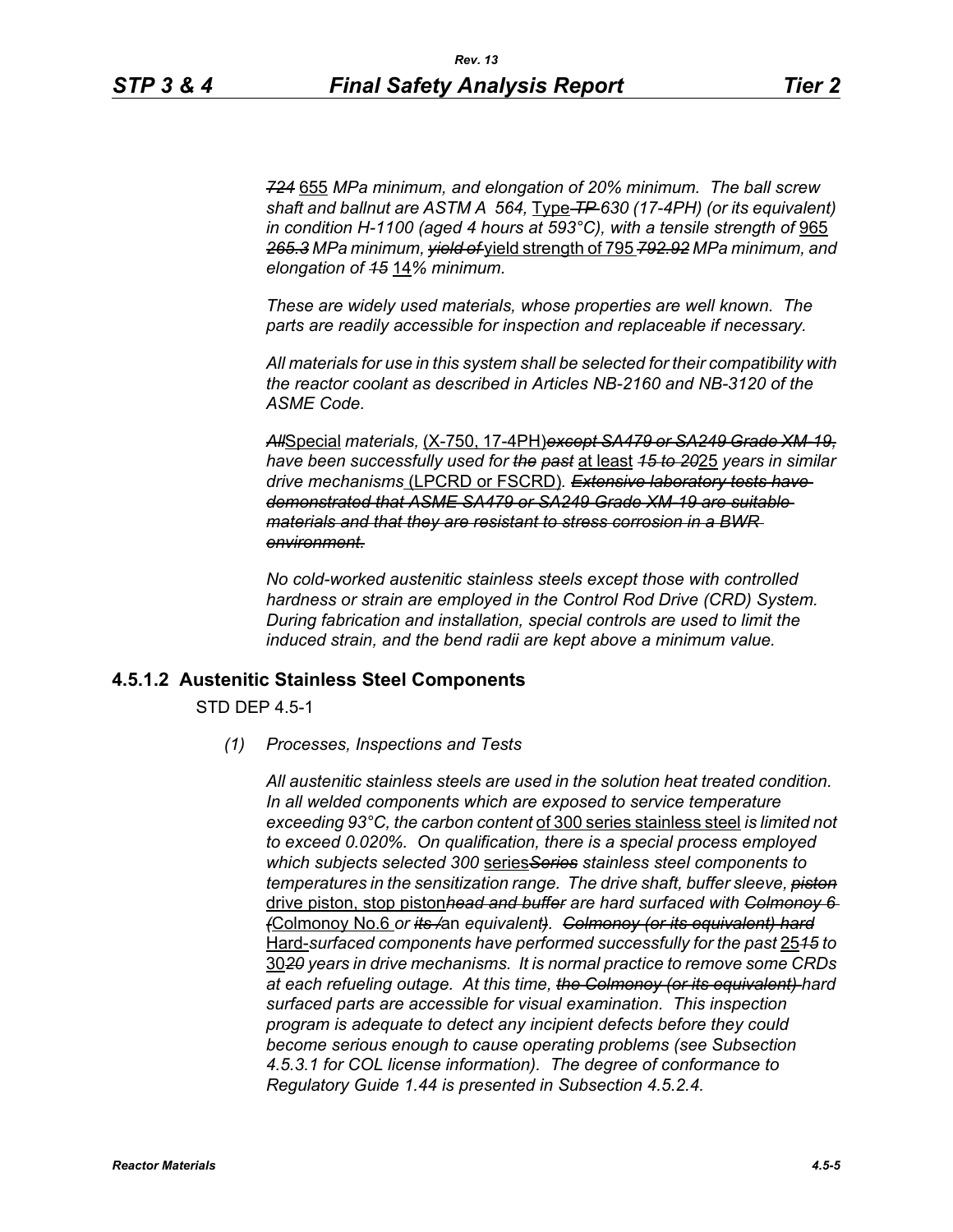*724* 655 *MPa minimum, and elongation of 20% minimum. The ball screw shaft and ballnut are ASTM A 564,* Type *TP 630 (17-4PH) (or its equivalent) in condition H-1100 (aged 4 hours at 593°C), with a tensile strength of* 965 *265.3 MPa minimum, yield of* yield strength of 795 *792.92 MPa minimum, and elongation of 15* 14*% minimum.*

*These are widely used materials, whose properties are well known. The parts are readily accessible for inspection and replaceable if necessary.*

*All materials for use in this system shall be selected for their compatibility with the reactor coolant as described in Articles NB-2160 and NB-3120 of the ASME Code.*

*All*Special *materials,* (X-750, 17-4PH)*except SA479 or SA249 Grade XM-19, have been successfully used for the past* at least *15 to 20*25 *years in similar drive mechanisms* (LPCRD or FSCRD)*. Extensive laboratory tests have demonstrated that ASME SA479 or SA249 Grade XM-19 are suitable materials and that they are resistant to stress corrosion in a BWR environment.*

*No cold-worked austenitic stainless steels except those with controlled hardness or strain are employed in the Control Rod Drive (CRD) System. During fabrication and installation, special controls are used to limit the induced strain, and the bend radii are kept above a minimum value.*

#### **4.5.1.2 Austenitic Stainless Steel Components**

STD DEP 4.5-1

*(1) Processes, Inspections and Tests*

*All austenitic stainless steels are used in the solution heat treated condition. In all welded components which are exposed to service temperature exceeding 93°C, the carbon content* of 300 series stainless steel *is limited not to exceed 0.020%. On qualification, there is a special process employed which subjects selected 300* series*Series stainless steel components to temperatures in the sensitization range. The drive shaft, buffer sleeve, piston* drive piston, stop piston*head and buffer are hard surfaced with Colmonoy 6 (*Colmonoy No.6 *or its /*an *equivalent). Colmonoy (or its equivalent) hard* Hard-*surfaced components have performed successfully for the past* 25*15 to* 30*20 years in drive mechanisms. It is normal practice to remove some CRDs at each refueling outage. At this time, the Colmonoy (or its equivalent) hard surfaced parts are accessible for visual examination. This inspection program is adequate to detect any incipient defects before they could become serious enough to cause operating problems (see Subsection 4.5.3.1 for COL license information). The degree of conformance to Regulatory Guide 1.44 is presented in Subsection 4.5.2.4.*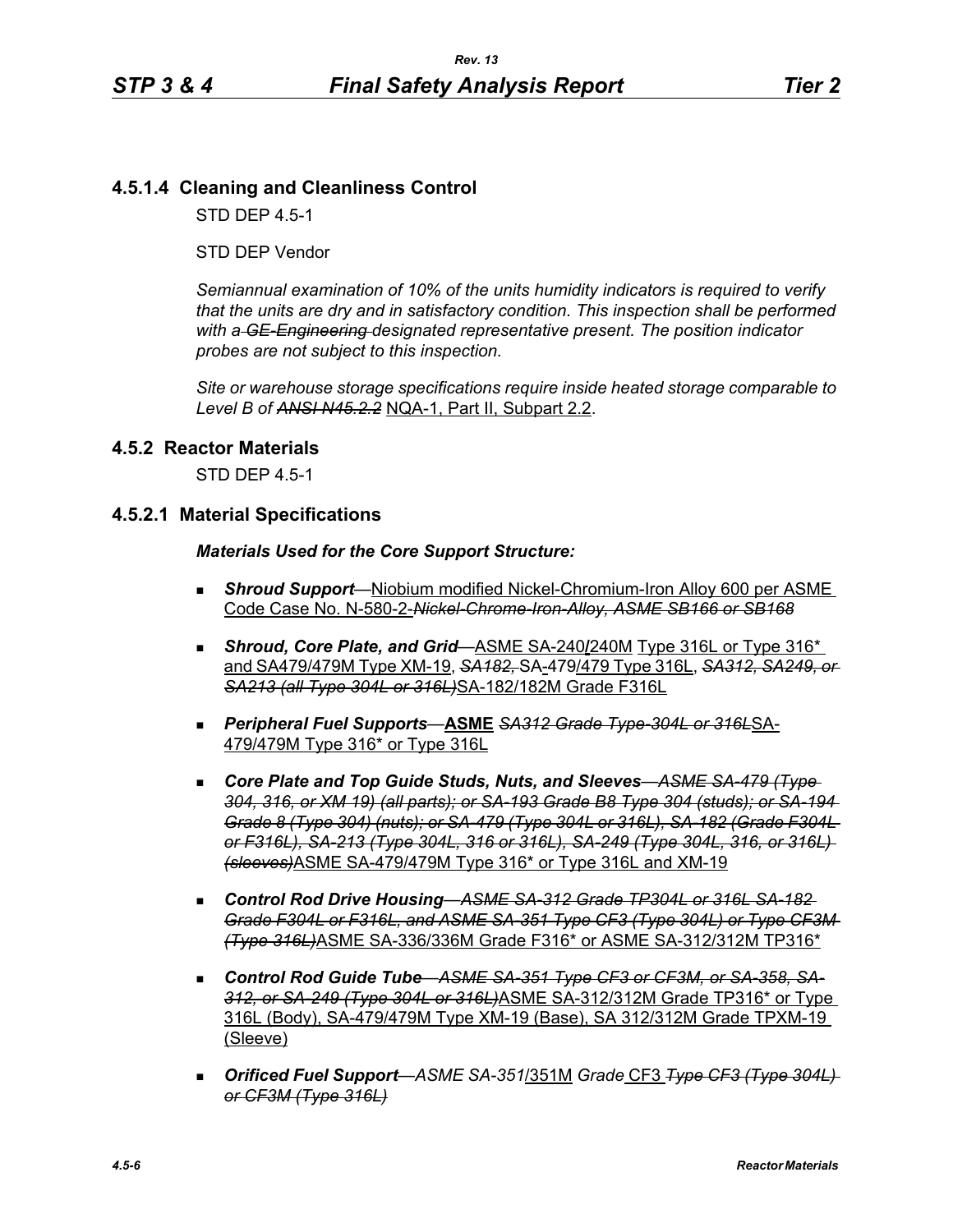# **4.5.1.4 Cleaning and Cleanliness Control**

STD DEP 4.5-1

STD DEP Vendor

*Semiannual examination of 10% of the units humidity indicators is required to verify that the units are dry and in satisfactory condition. This inspection shall be performed with a GE-Engineering designated representative present. The position indicator probes are not subject to this inspection.*

*Site or warehouse storage specifications require inside heated storage comparable to Level B of ANSI N45.2.2* NQA-1, Part II, Subpart 2.2.

## **4.5.2 Reactor Materials**

STD DEP 4.5-1

#### **4.5.2.1 Material Specifications**

#### *Materials Used for the Core Support Structure:*

- *Shroud Support*—Niobium modified Nickel-Chromium-Iron Alloy 600 per ASME Code Case No. N-580-2-*Nickel-Chrome-Iron-Alloy, ASME SB166 or SB168*
- **Shroud, Core Plate, and Grid**—ASME SA-240/240M Type 316L or Type 316<sup>\*</sup> and SA479/479M Type XM-19, *SA182,* SA-479/479 Type 316L, *SA312, SA249, or SA213 (all Type 304L or 316L)*SA-182/182M Grade F316L
- *Peripheral Fuel Supports*—**ASME** *SA312 Grade Type-304L or 316L*SA-479/479M Type 316\* or Type 316L
- *Core Plate and Top Guide Studs, Nuts, and Sleeves*—*ASME SA-479 (Type 304, 316, or XM 19) (all parts); or SA-193 Grade B8 Type 304 (studs); or SA-194 Grade 8 (Type 304) (nuts); or SA-479 (Type 304L or 316L), SA-182 (Grade F304L or F316L), SA-213 (Type 304L, 316 or 316L), SA-249 (Type 304L, 316, or 316L) (sleeves)*ASME SA-479/479M Type 316\* or Type 316L and XM-19
- *Control Rod Drive Housing*—*ASME SA-312 Grade TP304L or 316L SA-182 Grade F304L or F316L, and ASME SA-351 Type CF3 (Type 304L) or Type CF3M (Type 316L)*ASME SA-336/336M Grade F316\* or ASME SA-312/312M TP316\*
- *Control Rod Guide Tube*—*ASME SA-351 Type CF3 or CF3M, or SA-358, SA-312, or SA-249 (Type 304L or 316L)*ASME SA-312/312M Grade TP316\* or Type 316L (Body), SA-479/479M Type XM-19 (Base), SA 312/312M Grade TPXM-19 (Sleeve)
- *Orificed Fuel Support*—*ASME SA-351*/351M *Grade* CF3 *Type CF3 (Type 304L) or CF3M (Type 316L)*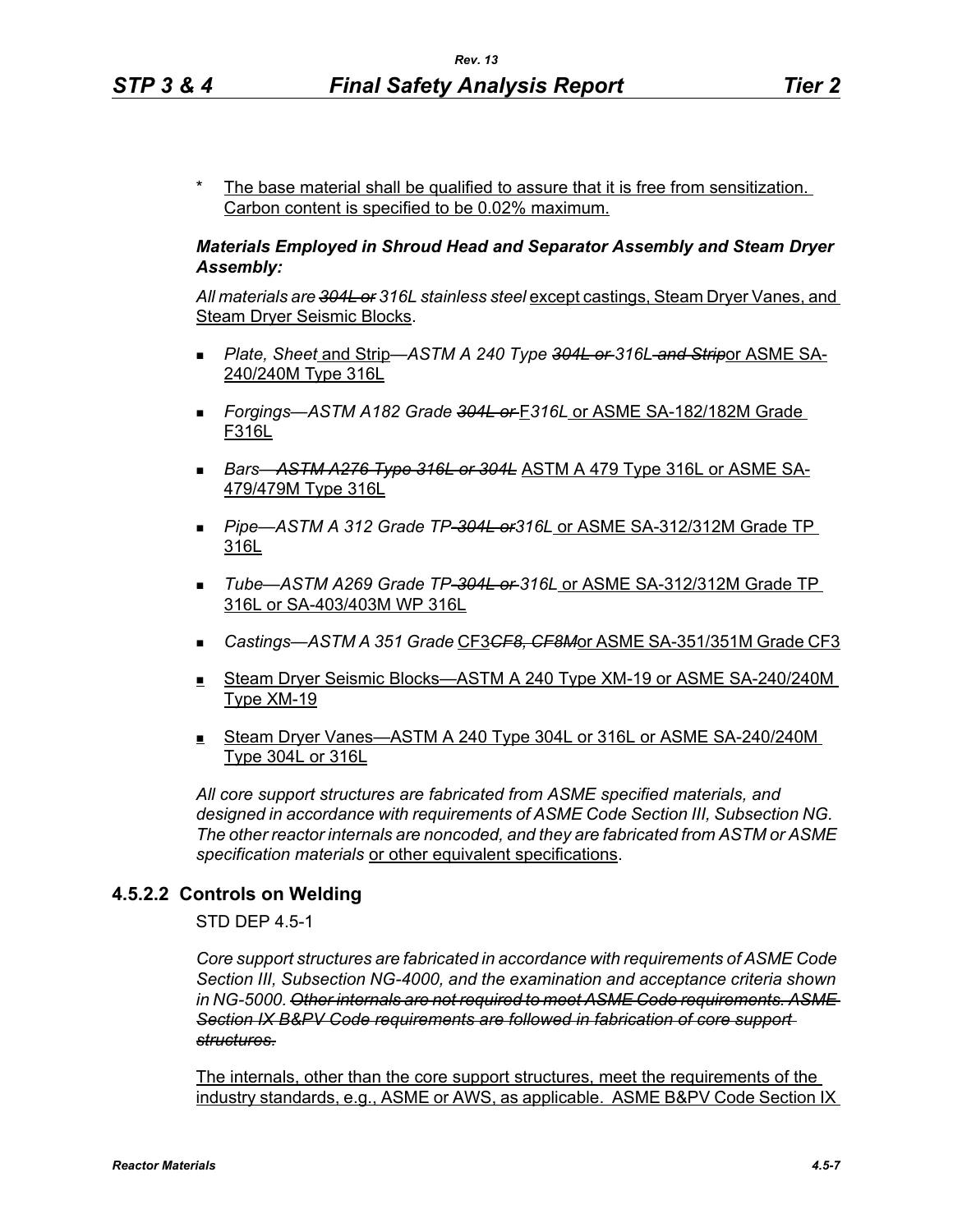The base material shall be qualified to assure that it is free from sensitization. Carbon content is specified to be 0.02% maximum.

## *Materials Employed in Shroud Head and Separator Assembly and Steam Dryer Assembly:*

*All materials are 304L or 316L stainless steel* except castings, Steam Dryer Vanes, and Steam Dryer Seismic Blocks.

- *Plate, Sheet* and Strip—*ASTM A 240 Type 304L or 316L and Strip*or ASME SA-240/240M Type 316L
- *Forgings—ASTM A182 Grade 304L or* F*316L* or ASME SA-182/182M Grade F316L
- *Bars*—*ASTM A276 Type 316L or 304L* ASTM A 479 Type 316L or ASME SA-479/479M Type 316L
- *Pipe*—*ASTM A 312 Grade TP-304L or316L* or ASME SA-312/312M Grade TP 316L
- *Tube*—*ASTM A269 Grade TP-304L or 316L* or ASME SA-312/312M Grade TP 316L or SA-403/403M WP 316L
- *Castings—ASTM A 351 Grade* CF3*CF8, CF8M*or ASME SA-351/351M Grade CF3
- Steam Dryer Seismic Blocks—ASTM A 240 Type XM-19 or ASME SA-240/240M Type XM-19
- Steam Dryer Vanes—ASTM A 240 Type 304L or 316L or ASME SA-240/240M Type 304L or 316L

*All core support structures are fabricated from ASME specified materials, and designed in accordance with requirements of ASME Code Section III, Subsection NG. The other reactor internals are noncoded, and they are fabricated from ASTM or ASME specification materials* or other equivalent specifications.

## **4.5.2.2 Controls on Welding**

STD DEP 4.5-1

*Core support structures are fabricated in accordance with requirements of ASME Code Section III, Subsection NG-4000, and the examination and acceptance criteria shown in NG-5000. Other internals are not required to meet ASME Code requirements. ASME Section IX B&PV Code requirements are followed in fabrication of core support structures.*

The internals, other than the core support structures, meet the requirements of the industry standards, e.g., ASME or AWS, as applicable. ASME B&PV Code Section IX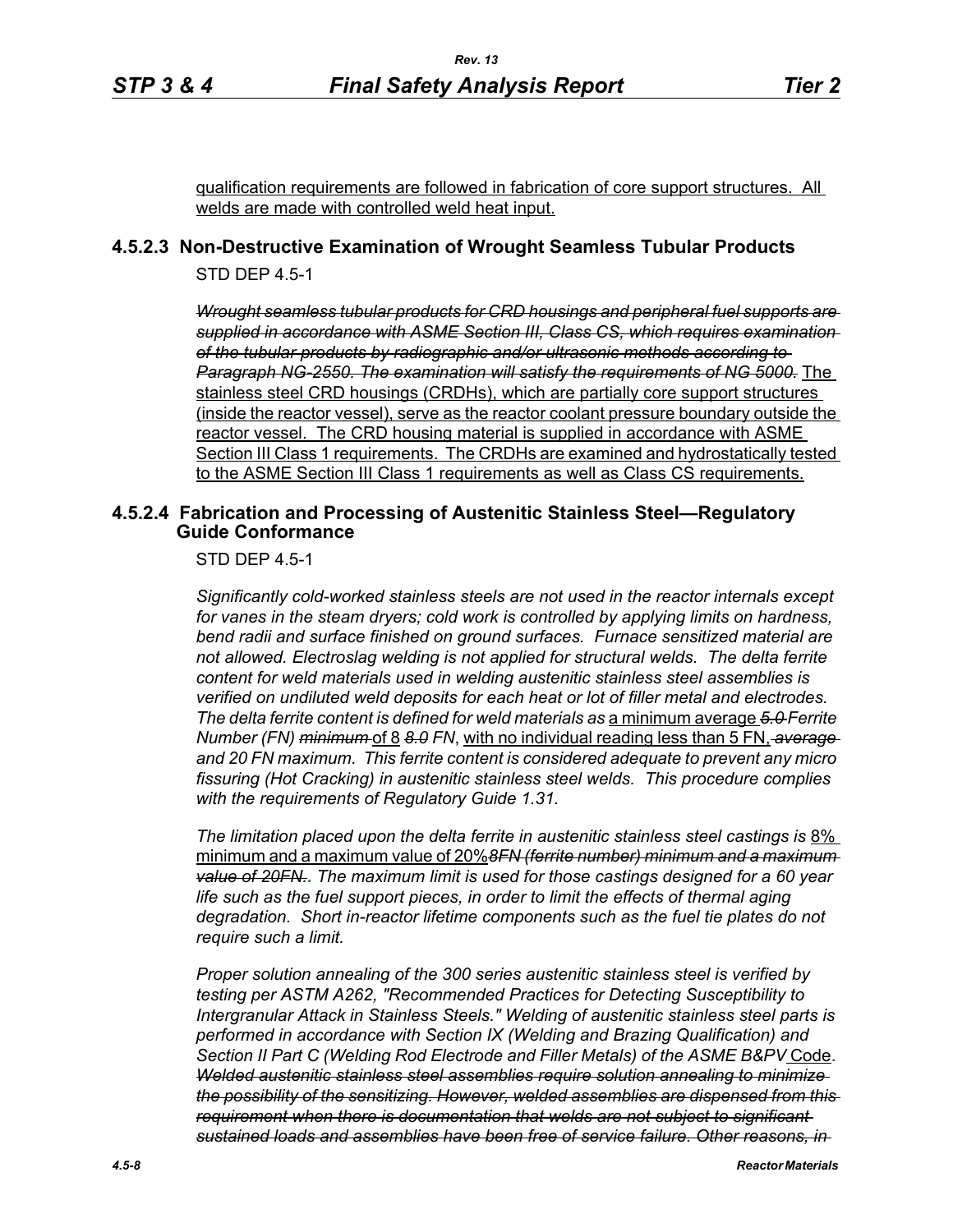qualification requirements are followed in fabrication of core support structures. All welds are made with controlled weld heat input.

# **4.5.2.3 Non-Destructive Examination of Wrought Seamless Tubular Products**

STD DEP 4.5-1

*Wrought seamless tubular products for CRD housings and peripheral fuel supports are supplied in accordance with ASME Section III, Class CS, which requires examination of the tubular products by radiographic and/or ultrasonic methods according to Paragraph NG-2550. The examination will satisfy the requirements of NG 5000.* The stainless steel CRD housings (CRDHs), which are partially core support structures (inside the reactor vessel), serve as the reactor coolant pressure boundary outside the reactor vessel. The CRD housing material is supplied in accordance with ASME Section III Class 1 requirements. The CRDHs are examined and hydrostatically tested to the ASME Section III Class 1 requirements as well as Class CS requirements.

## **4.5.2.4 Fabrication and Processing of Austenitic Stainless Steel—Regulatory Guide Conformance**

STD DEP 4.5-1

*Significantly cold-worked stainless steels are not used in the reactor internals except for vanes in the steam dryers; cold work is controlled by applying limits on hardness, bend radii and surface finished on ground surfaces. Furnace sensitized material are not allowed. Electroslag welding is not applied for structural welds. The delta ferrite content for weld materials used in welding austenitic stainless steel assemblies is verified on undiluted weld deposits for each heat or lot of filler metal and electrodes. The delta ferrite content is defined for weld materials as* a minimum average *5.0 Ferrite Number (FN) minimum* of 8 *8.0 FN*, with no individual reading less than 5 FN, *average and 20 FN maximum. This ferrite content is considered adequate to prevent any micro fissuring (Hot Cracking) in austenitic stainless steel welds. This procedure complies with the requirements of Regulatory Guide 1.31.*

*The limitation placed upon the delta ferrite in austenitic stainless steel castings is* 8% minimum and a maximum value of 20%*8FN (ferrite number) minimum and a maximum value of 20FN.***.** *The maximum limit is used for those castings designed for a 60 year life such as the fuel support pieces, in order to limit the effects of thermal aging degradation. Short in-reactor lifetime components such as the fuel tie plates do not require such a limit.*

*Proper solution annealing of the 300 series austenitic stainless steel is verified by testing per ASTM A262, "Recommended Practices for Detecting Susceptibility to Intergranular Attack in Stainless Steels." Welding of austenitic stainless steel parts is performed in accordance with Section IX (Welding and Brazing Qualification) and Section II Part C (Welding Rod Electrode and Filler Metals) of the ASME B&PV* Code. *Welded austenitic stainless steel assemblies require solution annealing to minimize the possibility of the sensitizing. However, welded assemblies are dispensed from this requirement when there is documentation that welds are not subject to significant sustained loads and assemblies have been free of service failure. Other reasons, in*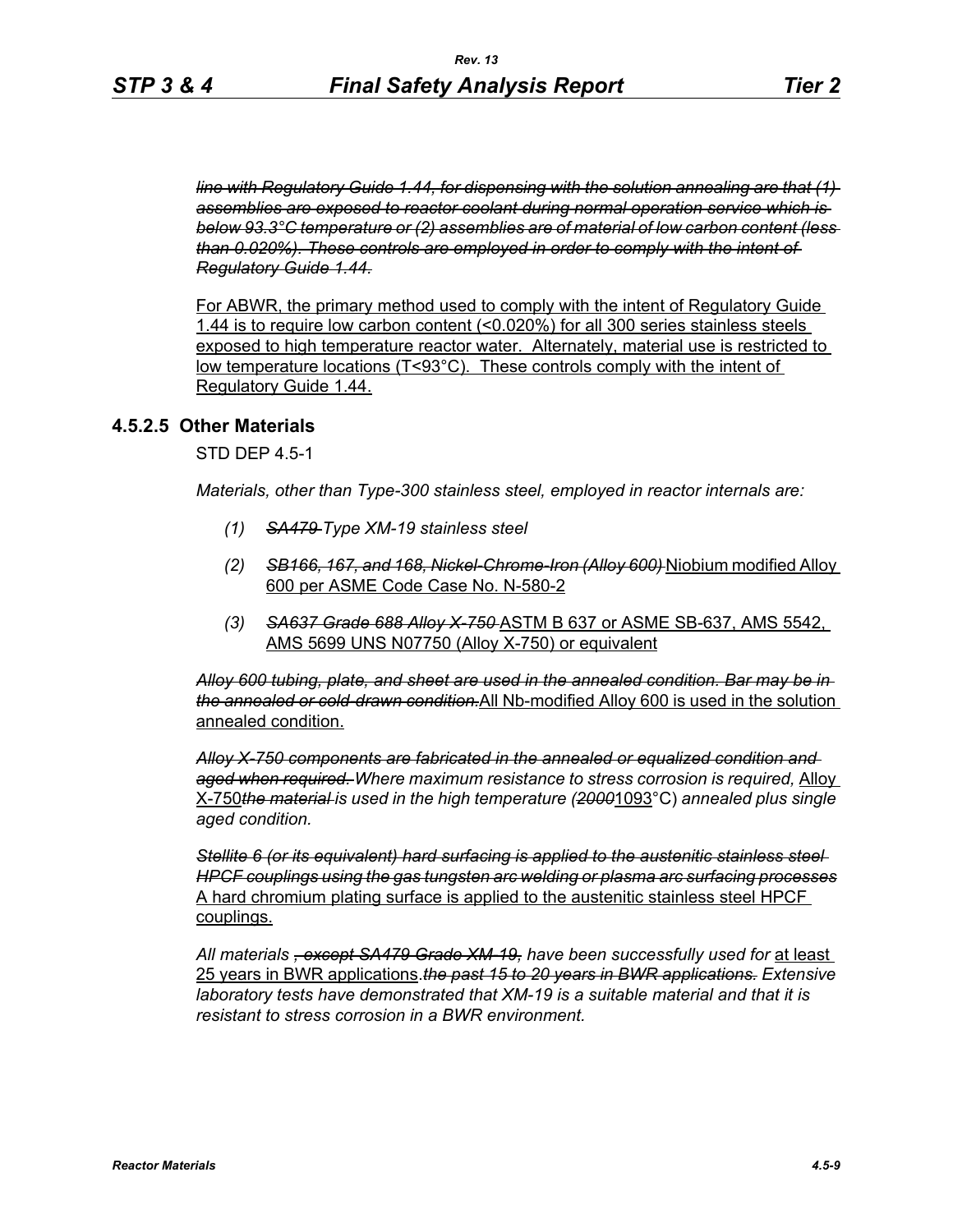*line with Regulatory Guide 1.44, for dispensing with the solution annealing are that (1) assemblies are exposed to reactor coolant during normal operation service which is below 93.3°C temperature or (2) assemblies are of material of low carbon content (less than 0.020%). These controls are employed in order to comply with the intent of Regulatory Guide 1.44.*

For ABWR, the primary method used to comply with the intent of Regulatory Guide 1.44 is to require low carbon content (<0.020%) for all 300 series stainless steels exposed to high temperature reactor water. Alternately, material use is restricted to low temperature locations (T<93°C). These controls comply with the intent of Regulatory Guide 1.44.

#### **4.5.2.5 Other Materials**

STD DEP 4.5-1

*Materials, other than Type-300 stainless steel, employed in reactor internals are:*

- *(1) SA479 Type XM-19 stainless steel*
- *(2) SB166, 167, and 168, Nickel-Chrome-Iron (Alloy 600)* Niobium modified Alloy 600 per ASME Code Case No. N-580-2
- *(3) SA637 Grade 688 Alloy X-750* ASTM B 637 or ASME SB-637, AMS 5542, AMS 5699 UNS N07750 (Alloy X-750) or equivalent

*Alloy 600 tubing, plate, and sheet are used in the annealed condition. Bar may be in the annealed or cold-drawn condition.*All Nb-modified Alloy 600 is used in the solution annealed condition.

*Alloy X-750 components are fabricated in the annealed or equalized condition and aged when required. Where maximum resistance to stress corrosion is required,* Alloy X-750*the material is used in the high temperature (2000*1093°C) *annealed plus single aged condition.*

*Stellite 6 (or its equivalent) hard surfacing is applied to the austenitic stainless steel HPCF couplings using the gas tungsten arc welding or plasma arc surfacing processes* A hard chromium plating surface is applied to the austenitic stainless steel HPCF couplings.

*All materials , except SA479 Grade XM-19, have been successfully used for* at least 25 years in BWR applications.*the past 15 to 20 years in BWR applications. Extensive laboratory tests have demonstrated that XM-19 is a suitable material and that it is resistant to stress corrosion in a BWR environment.*